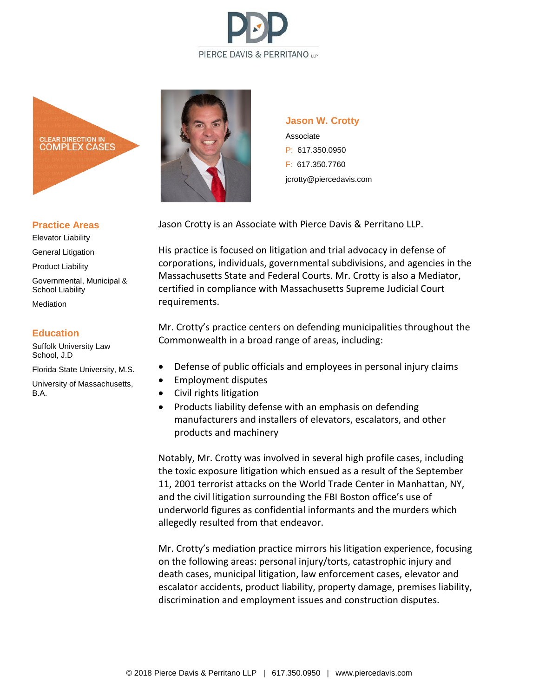



### **Practice Areas**

Elevator Liability General Litigation Product Liability Governmental, Municipal & School Liability Mediation

#### **Education**

Suffolk University Law School, J.D

Florida State University, M.S.

University of Massachusetts, B.A.



### **Jason W. Crotty**

Associate P: 617.350.0950 F: 617.350.7760 jcrotty@piercedavis.com

Jason Crotty is an Associate with Pierce Davis & Perritano LLP.

His practice is focused on litigation and trial advocacy in defense of corporations, individuals, governmental subdivisions, and agencies in the Massachusetts State and Federal Courts. Mr. Crotty is also a Mediator, certified in compliance with Massachusetts Supreme Judicial Court requirements.

Mr. Crotty's practice centers on defending municipalities throughout the Commonwealth in a broad range of areas, including:

- Defense of public officials and employees in personal injury claims
- Employment disputes
- Civil rights litigation
- Products liability defense with an emphasis on defending manufacturers and installers of elevators, escalators, and other products and machinery

Notably, Mr. Crotty was involved in several high profile cases, including the toxic exposure litigation which ensued as a result of the September 11, 2001 terrorist attacks on the World Trade Center in Manhattan, NY, and the civil litigation surrounding the FBI Boston office's use of underworld figures as confidential informants and the murders which allegedly resulted from that endeavor.

Mr. Crotty's mediation practice mirrors his litigation experience, focusing on the following areas: personal injury/torts, catastrophic injury and death cases, municipal litigation, law enforcement cases, elevator and escalator accidents, product liability, property damage, premises liability, discrimination and employment issues and construction disputes.